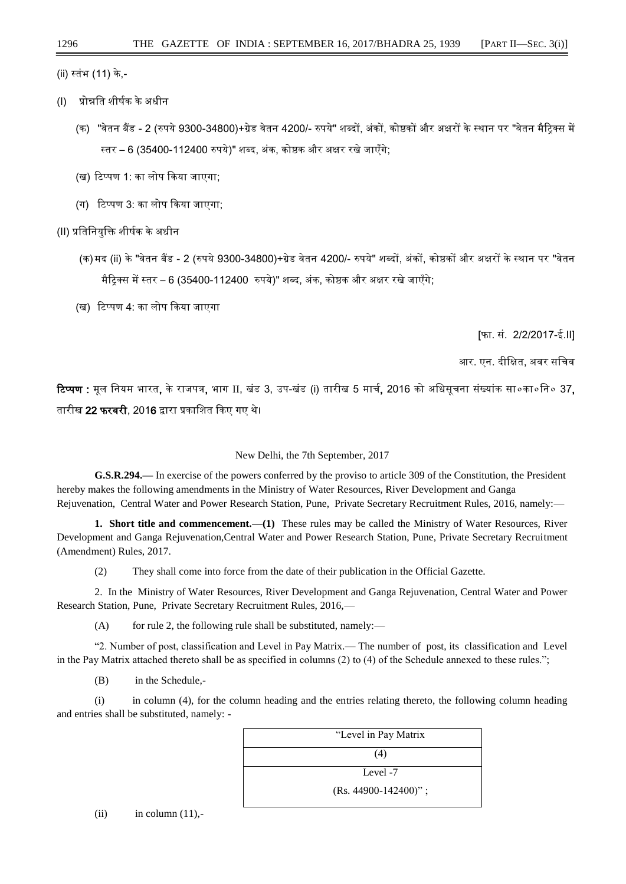## (ii) स्तंभ (11) के,-

- (I) प्रोन्नति शीर्षक केअधीन
	- (क) "वेतन बैंड 2 (रुपये 9300-34800)+ग्रेड वेतन 4200/- रुपये" शब्दों, अंकों, कोष्ठकों और अक्षरों के स्थान पर "वेतन मैटिक्स में रतर – 6 (35400-112400 रुपये)" शब्द, अंक, कोष्ठक और अक्षर रखे जाएँगे;
	- (ख) टिप्पण 1: का लोप किया जाएगा;
	- (ग) टिप्पण 3: का लोप किया जाएगा:
- (II) प्रतितनयुति शीर्षक केअधीन
	- (क)मद (ii) के "वेतन बैंड 2 (रुपये 9300-34800)+ग्रेड वेतन 4200/- रुपये" शब्दों, अंकों, कोष्ठकों और अक्षरों के स्थान पर "वेतन मैटिक्स में स्तर – 6 (35400-112400 रुपये)" शब्द, अंक, कोष्ठक और अक्षर रखे जाएँगे;
	- (ख) टिप्पण 4: का लोप किया जाएगा

[फा. िं. 2/2/2017-ई.II]

आर. एन. दीक्षित, अवर सचिव

टिप्पण : मल नियम भारत, के राजपत्र, भाग II, खंड 3, उप-खंड (i) तारीख 5 मार्च, 2016 को अधिसचना संख्यांक सा०का०नि० 37, तारीख 22 फरवरी, 2016 द्वारा प्रकाशित किए गए थे।

New Delhi, the 7th September, 2017

**G.S.R.294.—** In exercise of the powers conferred by the proviso to article 309 of the Constitution, the President hereby makes the following amendments in the Ministry of Water Resources, River Development and Ganga Rejuvenation, Central Water and Power Research Station, Pune, Private Secretary Recruitment Rules, 2016, namely:—

**1. Short title and commencement.—(1)** These rules may be called the Ministry of Water Resources, River Development and Ganga Rejuvenation,Central Water and Power Research Station, Pune, Private Secretary Recruitment (Amendment) Rules, 2017.

(2) They shall come into force from the date of their publication in the Official Gazette.

2.In the Ministry of Water Resources, River Development and Ganga Rejuvenation, Central Water and Power Research Station, Pune, Private Secretary Recruitment Rules, 2016,—

 $(A)$  for rule 2, the following rule shall be substituted, namely:—

"2. Number of post, classification and Level in Pay Matrix.— The number of post, its classification and Level in the Pay Matrix attached thereto shall be as specified in columns (2) to (4) of the Schedule annexed to these rules.";

(B) in the Schedule,-

(i) in column (4), for the column heading and the entries relating thereto, the following column heading and entries shall be substituted, namely: -



 $(ii)$  in column  $(11)$ ,-